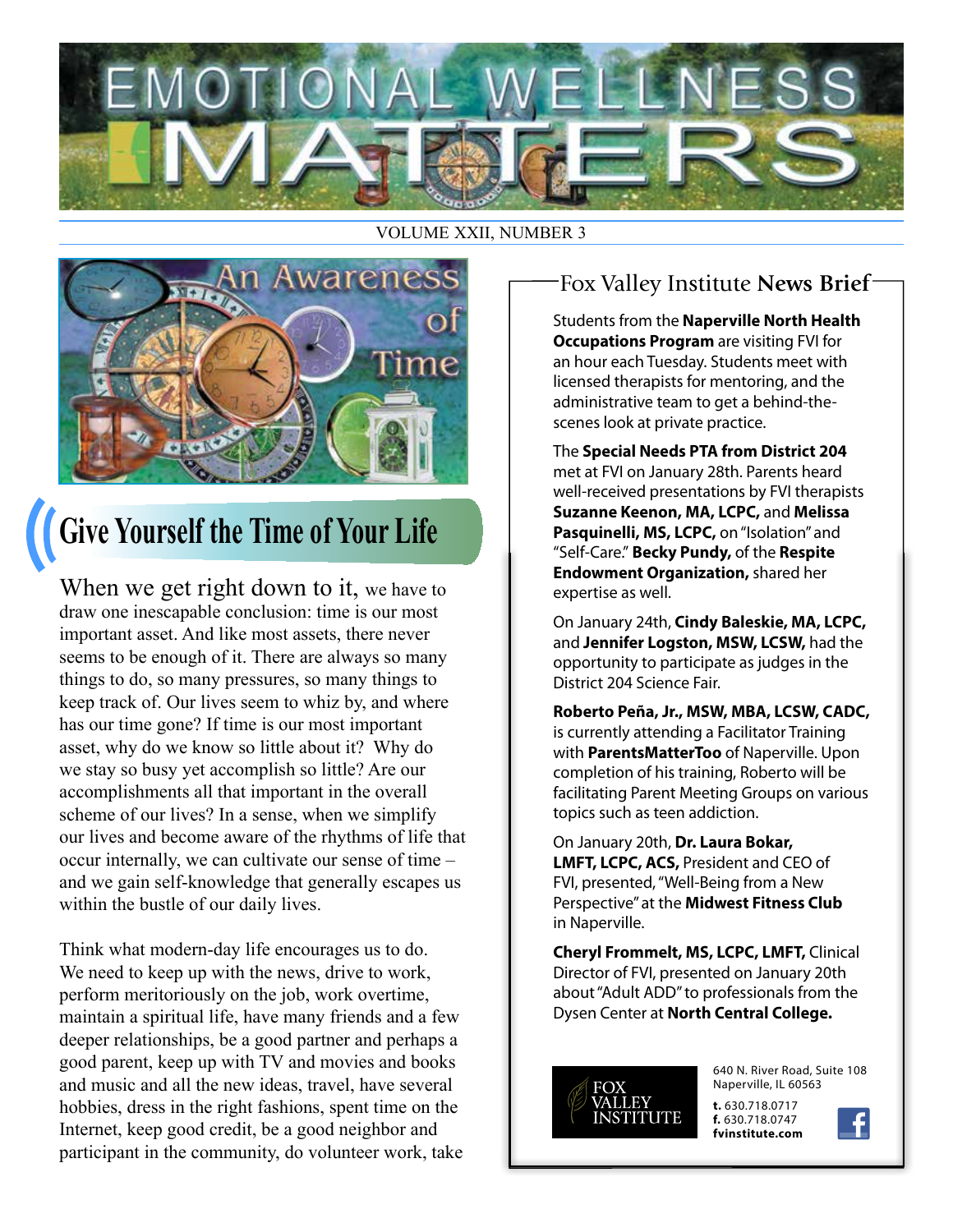

#### VOLUME XXII, NUMBER 3



## **Give Yourself the Time of Your Life**

When we get right down to it, we have to draw one inescapable conclusion: time is our most important asset. And like most assets, there never seems to be enough of it. There are always so many things to do, so many pressures, so many things to keep track of. Our lives seem to whiz by, and where has our time gone? If time is our most important asset, why do we know so little about it? Why do we stay so busy yet accomplish so little? Are our accomplishments all that important in the overall scheme of our lives? In a sense, when we simplify our lives and become aware of the rhythms of life that occur internally, we can cultivate our sense of time – and we gain self-knowledge that generally escapes us within the bustle of our daily lives.

Think what modern-day life encourages us to do. We need to keep up with the news, drive to work, perform meritoriously on the job, work overtime, maintain a spiritual life, have many friends and a few deeper relationships, be a good partner and perhaps a good parent, keep up with TV and movies and books and music and all the new ideas, travel, have several hobbies, dress in the right fashions, spent time on the Internet, keep good credit, be a good neighbor and participant in the community, do volunteer work, take

#### Fox Valley Institute **News Brief**

Students from the **Naperville North Health Occupations Program** are visiting FVI for an hour each Tuesday. Students meet with licensed therapists for mentoring, and the administrative team to get a behind-thescenes look at private practice.

The **Special Needs PTA from District 204**  met at FVI on January 28th. Parents heard well-received presentations by FVI therapists **Suzanne Keenon, MA, LCPC,** and **Melissa Pasquinelli, MS, LCPC,** on "Isolation" and "Self-Care." **Becky Pundy,** of the **Respite Endowment Organization,** shared her expertise as well.

On January 24th, **Cindy Baleskie, MA, LCPC,**  and **Jennifer Logston, MSW, LCSW,** had the opportunity to participate as judges in the District 204 Science Fair.

**Roberto Peña, Jr., MSW, MBA, LCSW, CADC,**  is currently attending a Facilitator Training with **ParentsMatterToo** of Naperville. Upon completion of his training, Roberto will be facilitating Parent Meeting Groups on various topics such as teen addiction.

On January 20th, **Dr. Laura Bokar, LMFT, LCPC, ACS,** President and CEO of FVI, presented, "Well-Being from a New Perspective" at the **Midwest Fitness Club** in Naperville.

**Cheryl Frommelt, MS, LCPC, LMFT,** Clinical Director of FVI, presented on January 20th about "Adult ADD" to professionals from the Dysen Center at **North Central College.**



640 N. River Road, Suite 108 Naperville, IL 60563

**t.** 630.718.0717 **f.** 630.718.0747 **fvinstitute.com**

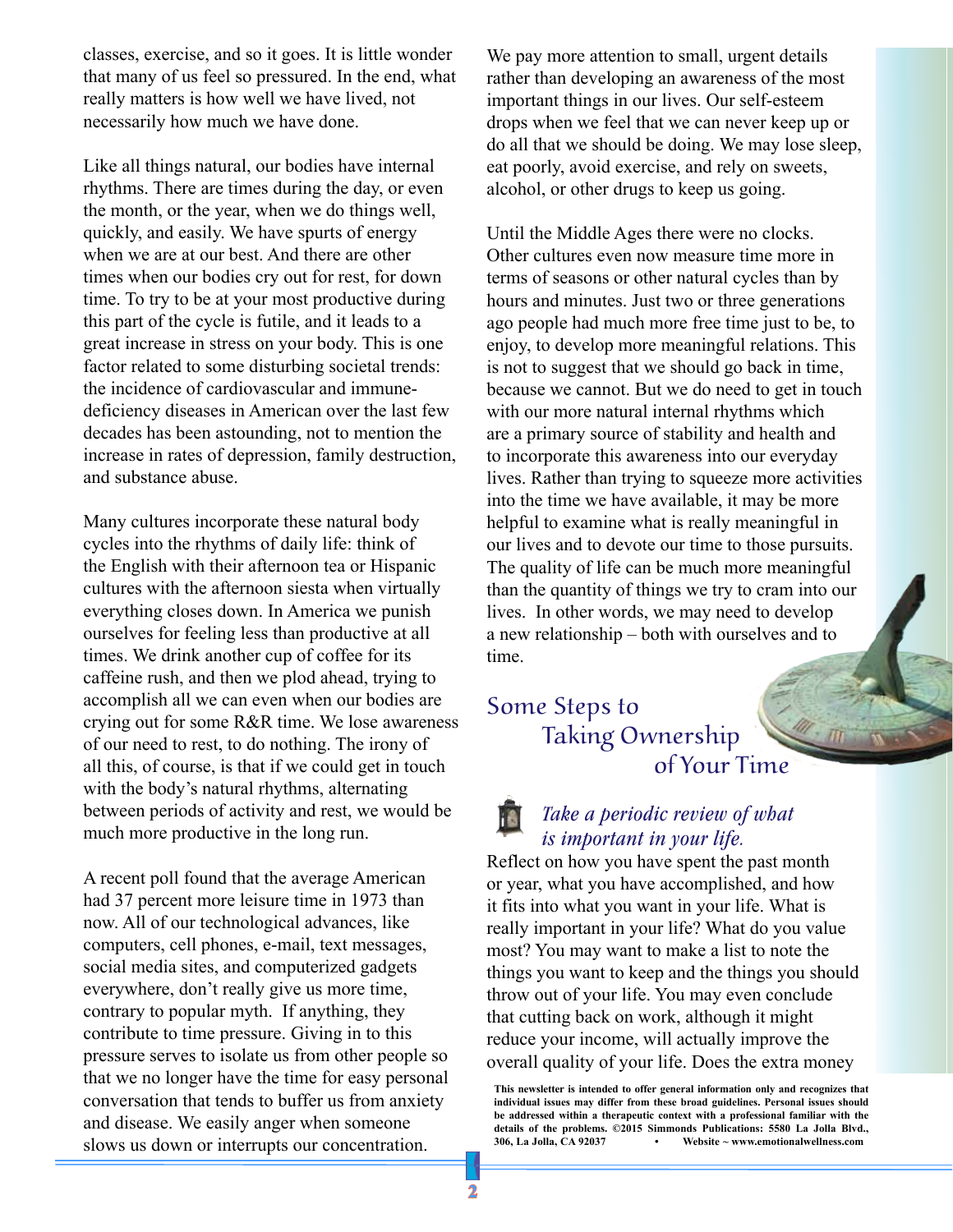classes, exercise, and so it goes. It is little wonder that many of us feel so pressured. In the end, what really matters is how well we have lived, not necessarily how much we have done.

Like all things natural, our bodies have internal rhythms. There are times during the day, or even the month, or the year, when we do things well, quickly, and easily. We have spurts of energy when we are at our best. And there are other times when our bodies cry out for rest, for down time. To try to be at your most productive during this part of the cycle is futile, and it leads to a great increase in stress on your body. This is one factor related to some disturbing societal trends: the incidence of cardiovascular and immunedeficiency diseases in American over the last few decades has been astounding, not to mention the increase in rates of depression, family destruction, and substance abuse.

Many cultures incorporate these natural body cycles into the rhythms of daily life: think of the English with their afternoon tea or Hispanic cultures with the afternoon siesta when virtually everything closes down. In America we punish ourselves for feeling less than productive at all times. We drink another cup of coffee for its caffeine rush, and then we plod ahead, trying to accomplish all we can even when our bodies are crying out for some R&R time. We lose awareness of our need to rest, to do nothing. The irony of all this, of course, is that if we could get in touch with the body's natural rhythms, alternating between periods of activity and rest, we would be much more productive in the long run.

A recent poll found that the average American had 37 percent more leisure time in 1973 than now. All of our technological advances, like computers, cell phones, e-mail, text messages, social media sites, and computerized gadgets everywhere, don't really give us more time, contrary to popular myth. If anything, they contribute to time pressure. Giving in to this pressure serves to isolate us from other people so that we no longer have the time for easy personal conversation that tends to buffer us from anxiety and disease. We easily anger when someone slows us down or interrupts our concentration.

We pay more attention to small, urgent details rather than developing an awareness of the most important things in our lives. Our self-esteem drops when we feel that we can never keep up or do all that we should be doing. We may lose sleep, eat poorly, avoid exercise, and rely on sweets, alcohol, or other drugs to keep us going.

Until the Middle Ages there were no clocks. Other cultures even now measure time more in terms of seasons or other natural cycles than by hours and minutes. Just two or three generations ago people had much more free time just to be, to enjoy, to develop more meaningful relations. This is not to suggest that we should go back in time, because we cannot. But we do need to get in touch with our more natural internal rhythms which are a primary source of stability and health and to incorporate this awareness into our everyday lives. Rather than trying to squeeze more activities into the time we have available, it may be more helpful to examine what is really meaningful in our lives and to devote our time to those pursuits. The quality of life can be much more meaningful than the quantity of things we try to cram into our lives. In other words, we may need to develop a new relationship – both with ourselves and to time.

#### Some Steps to Taking Ownership of Your Time

#### *Take a periodic review of what is important in your life.*

Reflect on how you have spent the past month or year, what you have accomplished, and how it fits into what you want in your life. What is really important in your life? What do you value most? You may want to make a list to note the things you want to keep and the things you should throw out of your life. You may even conclude that cutting back on work, although it might reduce your income, will actually improve the overall quality of your life. Does the extra money

**This newsletter is intended to offer general information only and recognizes that individual issues may differ from these broad guidelines. Personal issues should be addressed within a therapeutic context with a professional familiar with the details of the problems. ©2015 Simmonds Publications: 5580 La Jolla Blvd., 306, La Jolla, CA 92037 • Website ~ www.emotionalwellness.com**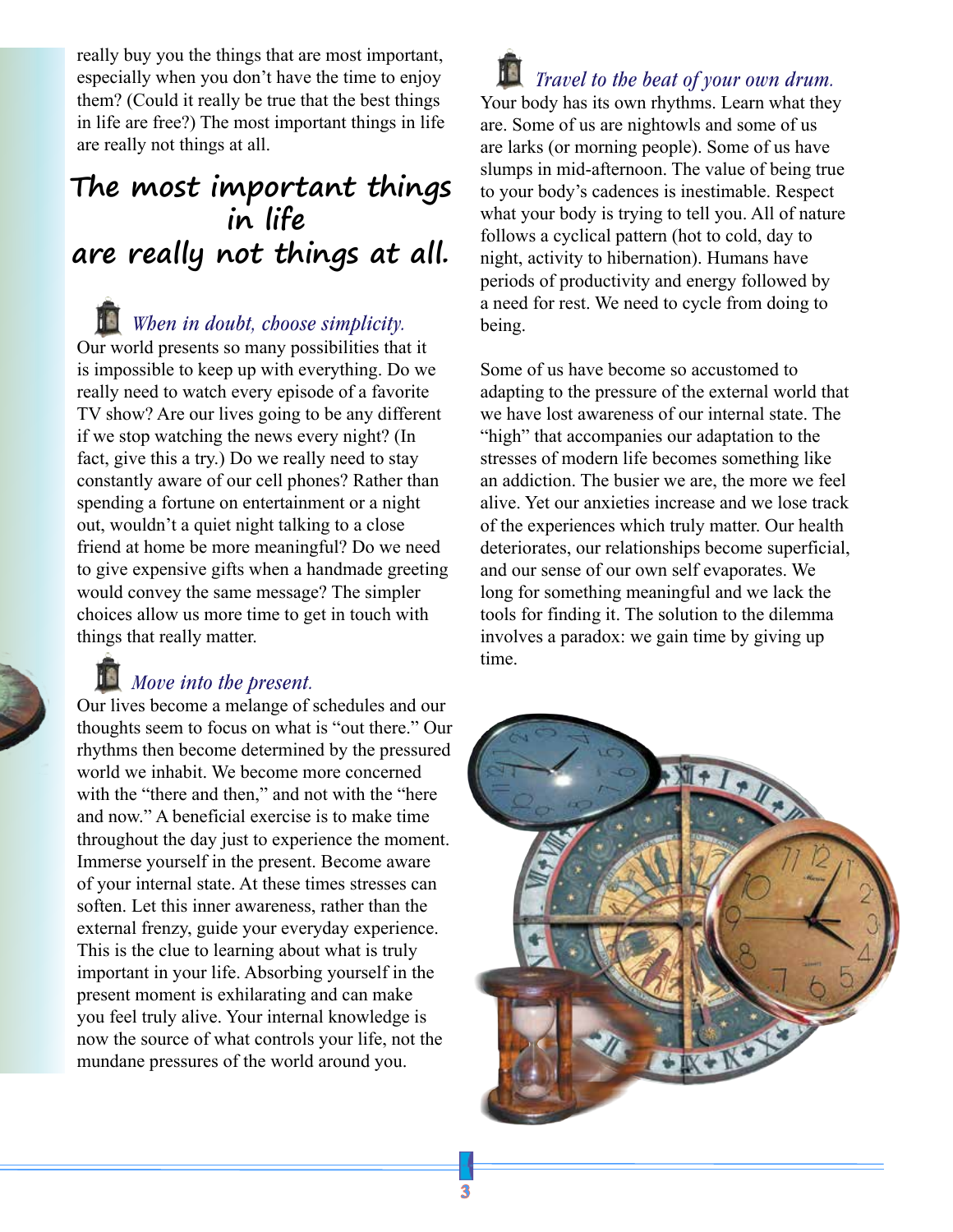really buy you the things that are most important, especially when you don't have the time to enjoy them? (Could it really be true that the best things in life are free?) The most important things in life are really not things at all.

## **The most important things in life are really not things at all.**

*When in doubt, choose simplicity.*  Our world presents so many possibilities that it is impossible to keep up with everything. Do we really need to watch every episode of a favorite TV show? Are our lives going to be any different if we stop watching the news every night? (In fact, give this a try.) Do we really need to stay constantly aware of our cell phones? Rather than spending a fortune on entertainment or a night out, wouldn't a quiet night talking to a close friend at home be more meaningful? Do we need to give expensive gifts when a handmade greeting would convey the same message? The simpler choices allow us more time to get in touch with things that really matter.

#### *Move into the present.*

Our lives become a melange of schedules and our thoughts seem to focus on what is "out there." Our rhythms then become determined by the pressured world we inhabit. We become more concerned with the "there and then," and not with the "here" and now." A beneficial exercise is to make time throughout the day just to experience the moment. Immerse yourself in the present. Become aware of your internal state. At these times stresses can soften. Let this inner awareness, rather than the external frenzy, guide your everyday experience. This is the clue to learning about what is truly important in your life. Absorbing yourself in the present moment is exhilarating and can make you feel truly alive. Your internal knowledge is now the source of what controls your life, not the mundane pressures of the world around you.

*Travel to the beat of your own drum.*  Your body has its own rhythms. Learn what they are. Some of us are nightowls and some of us are larks (or morning people). Some of us have slumps in mid-afternoon. The value of being true to your body's cadences is inestimable. Respect what your body is trying to tell you. All of nature follows a cyclical pattern (hot to cold, day to night, activity to hibernation). Humans have periods of productivity and energy followed by a need for rest. We need to cycle from doing to being.

Some of us have become so accustomed to adapting to the pressure of the external world that we have lost awareness of our internal state. The "high" that accompanies our adaptation to the stresses of modern life becomes something like an addiction. The busier we are, the more we feel alive. Yet our anxieties increase and we lose track of the experiences which truly matter. Our health deteriorates, our relationships become superficial, and our sense of our own self evaporates. We long for something meaningful and we lack the tools for finding it. The solution to the dilemma involves a paradox: we gain time by giving up time.